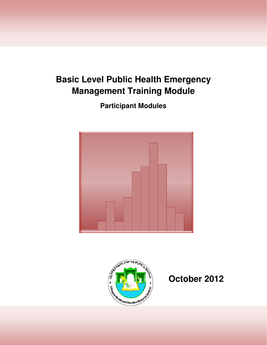# **Basic Level Public Health Emergency Management Training Module**

**Participant Modules** 



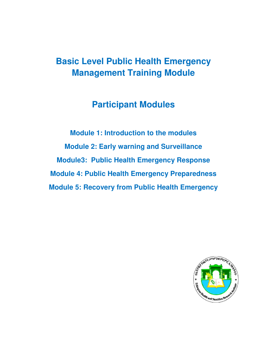# **Basic Level Public Health Emergency Management Training Module**

# **Participant Modules**

**Module 1: Introduction to the modules Module 2: Early warning and Surveillance Module3: Public Health Emergency Response Module 4: Public Health Emergency Preparedness Module 5: Recovery from Public Health Emergency** 

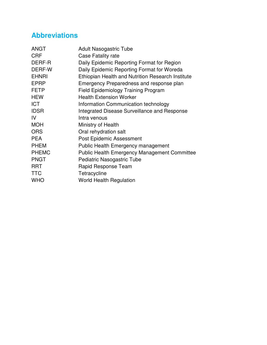## **Abbreviations**

| <b>ANGT</b>  | <b>Adult Nasogastric Tube</b>                            |
|--------------|----------------------------------------------------------|
| <b>CRF</b>   | Case Fatality rate                                       |
| DERF-R       | Daily Epidemic Reporting Format for Region               |
| DERF-W       | Daily Epidemic Reporting Format for Woreda               |
| <b>EHNRI</b> | <b>Ethiopian Health and Nutrition Research Institute</b> |
| <b>EPRP</b>  | Emergency Preparedness and response plan                 |
| <b>FETP</b>  | <b>Field Epidemiology Training Program</b>               |
| <b>HEW</b>   | <b>Health Extension Worker</b>                           |
| <b>ICT</b>   | Information Communication technology                     |
| <b>IDSR</b>  | Integrated Disease Surveillance and Response             |
| IV           | Intra venous                                             |
| <b>MOH</b>   | Ministry of Health                                       |
| <b>ORS</b>   | Oral rehydration salt                                    |
| <b>PEA</b>   | <b>Post Epidemic Assessment</b>                          |
| <b>PHEM</b>  | Public Health Emergency management                       |
| <b>PHEMC</b> | <b>Public Health Emergency Management Committee</b>      |
| <b>PNGT</b>  | Pediatric Nasogastric Tube                               |
| <b>RRT</b>   | Rapid Response Team                                      |
| <b>TTC</b>   | Tetracycline                                             |
| <b>WHO</b>   | <b>World Health Regulation</b>                           |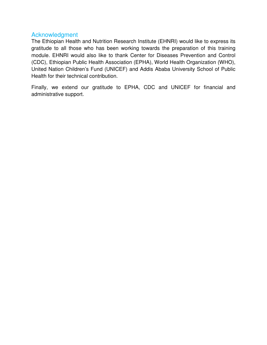#### Acknowledgment

The Ethiopian Health and Nutrition Research Institute (EHNRI) would like to express its gratitude to all those who has been working towards the preparation of this training module. EHNRI would also like to thank Center for Diseases Prevention and Control (CDC), Ethiopian Public Health Association (EPHA), World Health Organization (WHO), United Nation Children's Fund (UNICEF) and Addis Ababa University School of Public Health for their technical contribution.

Finally, we extend our gratitude to EPHA, CDC and UNICEF for financial and administrative support.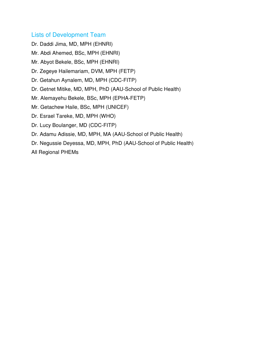#### Lists of Development Team

Dr. Daddi Jima, MD, MPH (EHNRI)

Mr. Abdi Ahemed, BSc, MPH (EHNRI)

Mr. Abyot Bekele, BSc, MPH (EHNRI)

Dr. Zegeye Hailemariam, DVM, MPH (FETP)

Dr. Getahun Aynalem, MD, MPH (CDC-FITP)

Dr. Getnet Mitike, MD, MPH, PhD (AAU-School of Public Health)

Mr. Alemayehu Bekele, BSc, MPH (EPHA-FETP)

Mr. Getachew Haile, BSc, MPH (UNICEF)

Dr. Esrael Tareke, MD, MPH (WHO)

Dr. Lucy Boulanger, MD (CDC-FITP)

Dr. Adamu Adissie, MD, MPH, MA (AAU-School of Public Health)

Dr. Negussie Deyessa, MD, MPH, PhD (AAU-School of Public Health)

All Regional PHEMs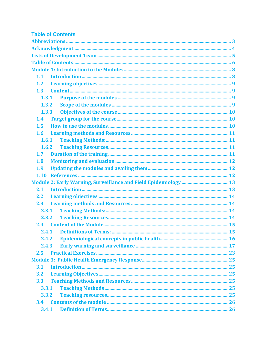| <b>Table of Contents</b> |  |
|--------------------------|--|
|                          |  |
|                          |  |
|                          |  |
|                          |  |
|                          |  |
| 1.1                      |  |
| 1.2                      |  |
| 1.3                      |  |
| 1.3.1                    |  |
| 1.3.2                    |  |
| 1.3.3                    |  |
| 1.4                      |  |
| 1.5                      |  |
| 1.6                      |  |
| 1.6.1                    |  |
| 1.6.2                    |  |
| 1.7 <sub>2</sub>         |  |
| 1.8                      |  |
| 1.9                      |  |
|                          |  |
|                          |  |
| 2.1                      |  |
| 2.2                      |  |
| 2.3                      |  |
| 2.3.1                    |  |
| 2.3.2                    |  |
|                          |  |
| 2.4.1                    |  |
| 2.4.2                    |  |
| 2.4.3                    |  |
| 2.5                      |  |
|                          |  |
| 3.1                      |  |
| 3.2                      |  |
| 3.3                      |  |
| 3.3.1                    |  |
| 3.3.2                    |  |
| 3.4                      |  |
| 3.4.1                    |  |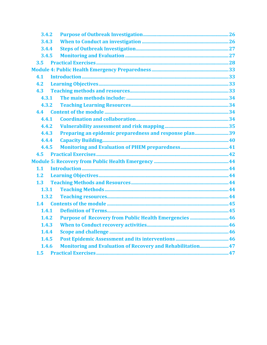| 3.4.2 |                                                                    |  |
|-------|--------------------------------------------------------------------|--|
| 3.4.3 |                                                                    |  |
| 3.4.4 |                                                                    |  |
| 3.4.5 |                                                                    |  |
| 3.5   |                                                                    |  |
|       |                                                                    |  |
| 4.1   |                                                                    |  |
| 4.2   |                                                                    |  |
| 4.3   |                                                                    |  |
| 4.3.1 |                                                                    |  |
| 4.3.2 |                                                                    |  |
|       |                                                                    |  |
| 4.4.1 |                                                                    |  |
| 4.4.2 |                                                                    |  |
| 4.4.3 |                                                                    |  |
| 4.4.4 |                                                                    |  |
| 4.4.5 |                                                                    |  |
|       |                                                                    |  |
|       |                                                                    |  |
| 1.1   |                                                                    |  |
| 1.2   |                                                                    |  |
| 1.3   |                                                                    |  |
| 1.3.1 |                                                                    |  |
| 1.3.2 |                                                                    |  |
| 1.4   |                                                                    |  |
| 1.4.1 |                                                                    |  |
| 1.4.2 |                                                                    |  |
| 1.4.3 |                                                                    |  |
| 1.4.4 |                                                                    |  |
| 1.4.5 |                                                                    |  |
| 1.4.6 | <b>Monitoring and Evaluation of Recovery and Rehabilitation 47</b> |  |
|       |                                                                    |  |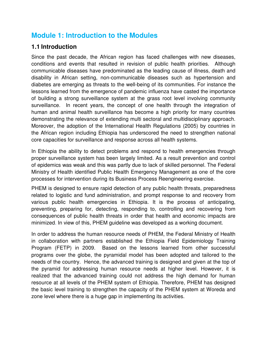## **Module 1: Introduction to the Modules**

## **1.1 Introduction**

Since the past decade, the African region has faced challenges with new diseases, conditions and events that resulted in revision of public health priorities. Although communicable diseases have predominated as the leading cause of illness, death and disability in African setting, non-communicable diseases such as hypertension and diabetes are emerging as threats to the well-being of its communities. For instance the lessons learned from the emergence of pandemic influenza have casted the importance of building a strong surveillance system at the grass root level involving community surveillance. In recent years, the concept of one health through the integration of human and animal health surveillance has become a high priority for many countries demonstrating the relevance of extending multi sectoral and multidisciplinary approach. Moreover, the adoption of the International Health Regulations (2005) by countries in the African region including Ethiopia has underscored the need to strengthen national core capacities for surveillance and response across all health systems.

In Ethiopia the ability to detect problems and respond to health emergencies through proper surveillance system has been largely limited. As a result prevention and control of epidemics was weak and this was partly due to lack of skilled personnel. The Federal Ministry of Health identified Public Health Emergency Management as one of the core processes for intervention during its Business Process Reengineering exercise.

PHEM is designed to ensure rapid detection of any public health threats, preparedness related to logistic and fund administration, and prompt response to and recovery from various public health emergencies in Ethiopia. It is the process of anticipating, preventing, preparing for, detecting, responding to, controlling and recovering from consequences of public health threats in order that health and economic impacts are minimized. In view of this, PHEM guideline was developed as a working document.

In order to address the human resource needs of PHEM, the Federal Ministry of Health in collaboration with partners established the Ethiopia Field Epidemiology Training Program (FETP) in 2009. Based on the lessons learned from other successful programs over the globe, the pyramidal model has been adopted and tailored to the needs of the country. Hence, the advanced training is designed and given at the top of the pyramid for addressing human resource needs at higher level. However, it is realized that the advanced training could not address the high demand for human resource at all levels of the PHEM system of Ethiopia. Therefore, PHEM has designed the basic level training to strengthen the capacity of the PHEM system at Woreda and zone level where there is a huge gap in implementing its activities.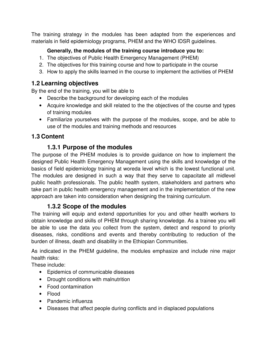The training strategy in the modules has been adapted from the experiences and materials in field epidemiology programs, PHEM and the WHO IDSR guidelines.

#### **Generally, the modules of the training course introduce you to:**

- 1. The objectives of Public Health Emergency Management (PHEM)
- 2. The objectives for this training course and how to participate in the course
- 3. How to apply the skills learned in the course to implement the activities of PHEM

## **1.2 Learning objectives**

By the end of the training, you will be able to

- Describe the background for developing each of the modules
- Acquire knowledge and skill related to the the objectives of the course and types of training modules
- Familiarize yourselves with the purpose of the modules, scope, and be able to use of the modules and training methods and resources

## **1.3 Content**

## **1.3.1 Purpose of the modules**

The purpose of the PHEM modules is to provide guidance on how to implement the designed Public Health Emergency Management using the skills and knowledge of the basics of field epidemiology training at woreda level which is the lowest functional unit. The modules are designed in such a way that they serve to capacitate all midlevel public health professionals. The public health system, stakeholders and partners who take part in public health emergency management and in the implementation of the new approach are taken into consideration when designing the training curriculum.

## **1.3.2 Scope of the modules**

The training will equip and extend opportunities for you and other health workers to obtain knowledge and skills of PHEM through sharing knowledge. As a trainee you will be able to use the data you collect from the system, detect and respond to priority diseases, risks, conditions and events and thereby contributing to reduction of the burden of illness, death and disability in the Ethiopian Communities.

As indicated in the PHEM guideline, the modules emphasize and include nine major health risks:

These include:

- Epidemics of communicable diseases
- Drought conditions with malnutrition
- Food contamination
- Flood
- Pandemic influenza
- Diseases that affect people during conflicts and in displaced populations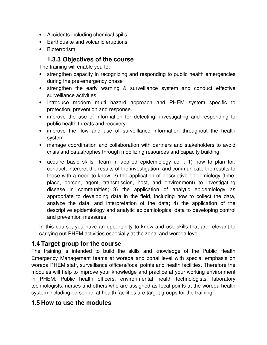- Accidents including chemical spills
- Earthquake and volcanic eruptions
- Bioterrorism

## **1.3.3 Objectives of the course**

The training will enable you to:

- strengthen capacity in recognizing and responding to public health emergencies during the pre-emergency phase
- strengthen the early warning & surveillance system and conduct effective surveillance activities
- Introduce modern multi hazard approach and PHEM system specific to protection, prevention and response.
- improve the use of information for detecting, investigating and responding to public health threats and recovery
- improve the flow and use of surveillance information throughout the health system
- manage coordination and collaboration with partners and stakeholders to avoid crisis and catastrophes through mobilizing resources and capacity building
- acquire basic skills learn in applied epidemiology i.e. : 1) how to plan for, conduct, interpret the results of the investigation, and communicate the results to those with a need to know; 2) the application of descriptive epidemiology (time, place, person, agent, transmission, host, and environment) to investigating disease in communities; 3) the application of analytic epidemiology as appropriate to developing data in the field, including how to collect the data, analyze the data, and interpretation of the data; 4) the application of the descriptive epidemiology and analytic epidemiological data to developing control and prevention measures

In this course, you have an opportunity to know and use skills that are relevant to carrying out PHEM activities especially at the zonal and woreda level.

## **1.4 Target group for the course**

The training is intended to build the skills and knowledge of the Public Health Emergency Management teams at woreda and zonal level with special emphasis on woreda PHEM staff, surveillance officers/focal points and health facilities. Therefore the modules will help to improve your knowledge and practice at your working environment in PHEM. Public health officers, environmental health technologists, laboratory technologists, nurses and others who are assigned as focal points at the woreda health system including personnel at health facilities are target groups for the training.

#### **1.5 How to use the modules**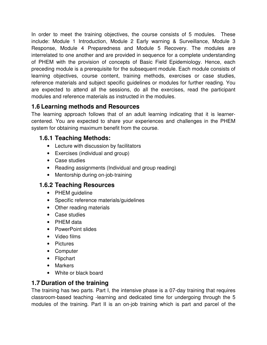In order to meet the training objectives, the course consists of 5 modules. These include: Module 1 Introduction, Module 2 Early warning & Surveillance, Module 3 Response, Module 4 Preparedness and Module 5 Recovery. The modules are interrelated to one another and are provided in sequence for a complete understanding of PHEM with the provision of concepts of Basic Field Epidemiology. Hence, each preceding module is a prerequisite for the subsequent module. Each module consists of learning objectives, course content, training methods, exercises or case studies, reference materials and subject specific guidelines or modules for further reading. You are expected to attend all the sessions, do all the exercises, read the participant modules and reference materials as instructed in the modules.

## **1.6 Learning methods and Resources**

The learning approach follows that of an adult learning indicating that it is learnercentered. You are expected to share your experiences and challenges in the PHEM system for obtaining maximum benefit from the course.

## **1.6.1 Teaching Methods:**

- Lecture with discussion by facilitators
- Exercises (individual and group)
- Case studies
- Reading assignments (Individual and group reading)
- Mentorship during on-job-training

## **1.6.2 Teaching Resources**

- PHEM guideline
- Specific reference materials/guidelines
- Other reading materials
- Case studies
- PHEM data
- PowerPoint slides
- Video films
- Pictures
- Computer
- Flipchart
- Markers
- White or black board

## **1.7 Duration of the training**

The training has two parts. Part I, the intensive phase is a 07-day training that requires classroom-based teaching -learning and dedicated time for undergoing through the 5 modules of the training. Part II is an on-job training which is part and parcel of the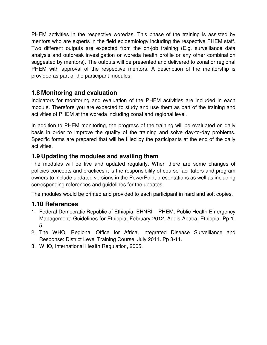PHEM activities in the respective woredas. This phase of the training is assisted by mentors who are experts in the field epidemiology including the respective PHEM staff. Two different outputs are expected from the on-job training (E.g. surveillance data analysis and outbreak investigation or woreda health profile or any other combination suggested by mentors). The outputs will be presented and delivered to zonal or regional PHEM with approval of the respective mentors. A description of the mentorship is provided as part of the participant modules.

## **1.8 Monitoring and evaluation**

Indicators for monitoring and evaluation of the PHEM activities are included in each module. Therefore you are expected to study and use them as part of the training and activities of PHEM at the woreda including zonal and regional level.

In addition to PHEM monitoring, the progress of the training will be evaluated on daily basis in order to improve the quality of the training and solve day-to-day problems. Specific forms are prepared that will be filled by the participants at the end of the daily activities.

## **1.9 Updating the modules and availing them**

The modules will be live and updated regularly. When there are some changes of policies concepts and practices it is the responsibility of course facilitators and program owners to include updated versions in the PowerPoint presentations as well as including corresponding references and guidelines for the updates.

The modules would be printed and provided to each participant in hard and soft copies.

## **1.10 References**

- 1. Federal Democratic Republic of Ethiopia, EHNRI PHEM, Public Health Emergency Management: Guidelines for Ethiopia, February 2012, Addis Ababa, Ethiopia. Pp 1- 5.
- 2. The WHO, Regional Office for Africa, Integrated Disease Surveillance and Response: District Level Training Course, July 2011. Pp 3-11.
- 3. WHO, International Health Regulation, 2005.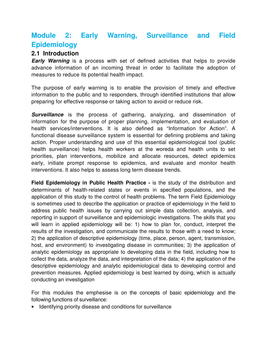## **Module 2: Early Warning, Surveillance and Field Epidemiology**

## **2.1 Introduction**

**Early Warning** is a process with set of defined activities that helps to provide advance information of an incoming threat in order to facilitate the adoption of measures to reduce its potential health impact.

The purpose of early warning is to enable the provision of timely and effective information to the public and to responders, through identified institutions that allow preparing for effective response or taking action to avoid or reduce risk.

**Surveillance** is the process of gathering, analyzing, and dissemination of information for the purpose of proper planning, implementation, and evaluation of health services/interventions. It is also defined as "Information for Action". A functional disease surveillance system is essential for defining problems and taking action. Proper understanding and use of this essential epidemiological tool (public health surveillance) helps health workers at the woreda and health units to set priorities, plan interventions, mobilize and allocate resources, detect epidemics early, initiate prompt response to epidemics, and evaluate and monitor health interventions. It also helps to assess long term disease trends.

**Field Epidemiology in Public Health Practice -** is the study of the distribution and determinants of health-related states or events in specified populations, and the application of this study to the control of health problems. The term Field Epidemiology is sometimes used to describe the application or practice of epidemiology in the field to address public health issues by carrying out simple data collection, analysis, and reporting in support of surveillance and epidemiologic investigations. The skills that you will learn in applied epidemiology will be: 1) how to plan for, conduct, interpret the results of the investigation, and communicate the results to those with a need to know; 2) the application of descriptive epidemiology (time, place, person, agent, transmission, host, and environment) to investigating disease in communities; 3) the application of analytic epidemiology as appropriate to developing data in the field, including how to collect the data, analyze the data, and interpretation of the data; 4) the application of the descriptive epidemiology and analytic epidemiological data to developing control and prevention measures. Applied epidemiology is best learned by doing, which is actually conducting an investigation

For this modules the emphesise is on the concepts of basic epidemiology and the following functions of surveillance:

• Identifying priority disease and conditions for surveillance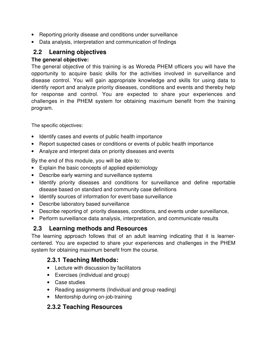- Reporting priority disease and conditions under surveillance
- Data analysis, interpretation and communication of findings

## **2.2 Learning objectives**

#### **The general objective:**

The general objective of this training is as Woreda PHEM officers you will have the opportunity to acquire basic skills for the activities involved in surveillance and disease control. You will gain appropriate knowledge and skills for using data to identify report and analyze priority diseases, conditions and events and thereby help for response and control. You are expected to share your experiences and challenges in the PHEM system for obtaining maximum benefit from the training program.

The specific objectives:

- Identify cases and events of public health importance
- Report suspected cases or conditions or events of public health importance
- Analyze and interpret data on priority diseases and events

By the end of this module, you will be able to:

- Explain the basic concepts of applied epidemiology
- Describe early warning and surveillance systems
- Identify priority diseases and conditions for surveillance and define reportable disease based on standard and community case definitions
- Identify sources of information for event base surveillance
- Describe laboratory based surveillance
- Describe reporting of priority diseases, conditions, and events under surveillance,
- Perform surveillance data analysis, interpretation, and communicate results

## **2.3 Learning methods and Resources**

The learning approach follows that of an adult learning indicating that it is learnercentered. You are expected to share your experiences and challenges in the PHEM system for obtaining maximum benefit from the course.

## **2.3.1 Teaching Methods:**

- Lecture with discussion by facilitators
- Exercises (individual and group)
- Case studies
- Reading assignments (Individual and group reading)
- Mentorship during on-job-training

## **2.3.2 Teaching Resources**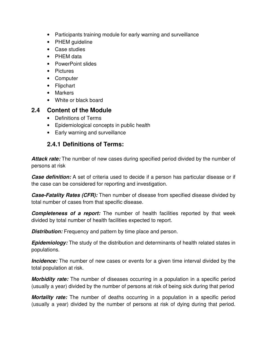- Participants training module for early warning and surveillance
- PHEM guideline
- Case studies
- PHEM data
- PowerPoint slides
- Pictures
- Computer
- Flipchart
- Markers
- White or black board

### **2.4 Content of the Module**

- Definitions of Terms
- Epidemiological concepts in public health
- Early warning and surveillance

## **2.4.1 Definitions of Terms:**

**Attack rate:** The number of new cases during specified period divided by the number of persons at risk

**Case definition:** A set of criteria used to decide if a person has particular disease or if the case can be considered for reporting and investigation.

**Case-Fatality Rates (CFR):** Then number of disease from specified disease divided by total number of cases from that specific disease.

**Completeness of a report:** The number of health facilities reported by that week divided by total number of health facilities expected to report.

**Distribution:** Frequency and pattern by time place and person.

**Epidemiology:** The study of the distribution and determinants of health related states in populations.

**Incidence:** The number of new cases or events for a given time interval divided by the total population at risk.

**Morbidity rate:** The number of diseases occurring in a population in a specific period (usually a year) divided by the number of persons at risk of being sick during that period

**Mortality rate:** The number of deaths occurring in a population in a specific period (usually a year) divided by the number of persons at risk of dying during that period.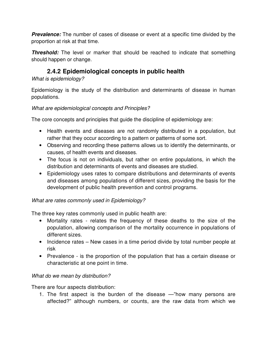**Prevalence:** The number of cases of disease or event at a specific time divided by the proportion at risk at that time.

**Threshold:** The level or marker that should be reached to indicate that something should happen or change.

## **2.4.2 Epidemiological concepts in public health**

What is epidemiology?

Epidemiology is the study of the distribution and determinants of disease in human populations.

#### What are epidemiological concepts and Principles?

The core concepts and principles that guide the discipline of epidemiology are:

- Health events and diseases are not randomly distributed in a population, but rather that they occur according to a pattern or patterns of some sort.
- Observing and recording these patterns allows us to identify the determinants, or causes, of health events and diseases.
- The focus is not on individuals, but rather on entire populations, in which the distribution and determinants of events and diseases are studied.
- Epidemiology uses rates to compare distributions and determinants of events and diseases among populations of different sizes, providing the basis for the development of public health prevention and control programs.

#### What are rates commonly used in Epidemiology?

The three key rates commonly used in public health are:

- Mortality rates relates the frequency of these deaths to the size of the population, allowing comparison of the mortality occurrence in populations of different sizes.
- Incidence rates New cases in a time period divide by total number people at risk
- Prevalence is the proportion of the population that has a certain disease or characteristic at one point in time.

#### What do we mean by distribution?

There are four aspects distribution:

1. The first aspect is the burden of the disease —"how many persons are affected?" although numbers, or counts, are the raw data from which we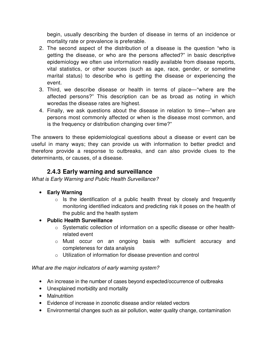begin, usually describing the burden of disease in terms of an incidence or mortality rate or prevalence is preferable.

- 2. The second aspect of the distribution of a disease is the question "who is getting the disease, or who are the persons affected?" in basic descriptive epidemiology we often use information readily available from disease reports, vital statistics, or other sources (such as age, race, gender, or sometime marital status) to describe who is getting the disease or experiencing the event.
- 3. Third, we describe disease or health in terms of place—"where are the affected persons?" This description can be as broad as noting in which woredas the disease rates are highest.
- 4. Finally, we ask questions about the disease in relation to time—"when are persons most commonly affected or when is the disease most common, and is the frequency or distribution changing over time?"

The answers to these epidemiological questions about a disease or event can be useful in many ways; they can provide us with information to better predict and therefore provide a response to outbreaks, and can also provide clues to the determinants, or causes, of a disease.

## **2.4.3 Early warning and surveillance**

What is Early Warning and Public Health Surveillance?

- **Early Warning** 
	- $\circ$  Is the identification of a public health threat by closely and frequently monitoring identified indicators and predicting risk it poses on the health of the public and the health system
- **Public Health Surveillance** 
	- o Systematic collection of information on a specific disease or other healthrelated event
	- o Must occur on an ongoing basis with sufficient accuracy and completeness for data analysis
	- o Utilization of information for disease prevention and control

#### What are the major indicators of early warning system?

- An increase in the number of cases beyond expected/occurrence of outbreaks
- Unexplained morbidity and mortality
- Malnutrition
- Evidence of increase in zoonotic disease and/or related vectors
- Environmental changes such as air pollution, water quality change, contamination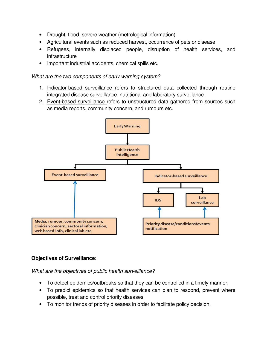- Drought, flood, severe weather (metrological information)
- Agricultural events such as reduced harvest, occurrence of pets or disease
- Refugees, internally displaced people, disruption of health services, and infrastructure
- Important industrial accidents, chemical spills etc.

#### What are the two components of early warning system?

- 1. Indicator-based surveillance refers to structured data collected through routine integrated disease surveillance, nutritional and laboratory surveillance.
- 2. Event-based surveillance refers to unstructured data gathered from sources such as media reports, community concern, and rumours etc.



#### **Objectives of Surveillance:**

What are the objectives of public health surveillance?

- To detect epidemics/outbreaks so that they can be controlled in a timely manner,
- To predict epidemics so that health services can plan to respond, prevent where possible, treat and control priority diseases,
- To monitor trends of priority diseases in order to facilitate policy decision,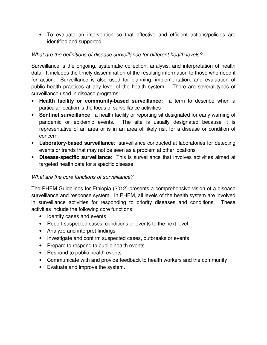• To evaluate an intervention so that effective and efficient actions/policies are identified and supported.

#### What are the definitions of disease surveillance for different health levels?

Surveillance is the ongoing, systematic collection, analysis, and interpretation of health data. It includes the timely dissemination of the resulting information to those who need it for action. Surveillance is also used for planning, implementation, and evaluation of public health practices at any level of the health system. There are several types of surveillance used in disease programs:

- **Health facility or community-based surveillance:** a term to describe when a particular location is the focus of surveillance activities
- **Sentinel surveillance**: a health facility or reporting sit designated for early warning of pandemic or epidemic events. The site is usually designated because it is representative of an area or is in an area of likely risk for a disease or condition of concern.
- **Laboratory-based surveillance**: surveillance conducted at laboratories for detecting events or trends that may not be seen as a problem at other locations
- **Disease-specific surveillance**: This is surveillance that involves activities aimed at targeted health data for a specific disease.

#### What are the core functions of surveillance?

The PHEM Guidelines for Ethiopia (2012) presents a comprehensive vision of a disease surveillance and response system. In PHEM, all levels of the health system are involved in surveillance activities for responding to priority diseases and conditions. These activities include the following core functions:

- Identify cases and events
- Report suspected cases, conditions or events to the next level
- Analyze and interpret findings
- Investigate and confirm suspected cases, outbreaks or events
- Prepare to respond to public health events
- Respond to public health events
- Communicate with and provide feedback to health workers and the community
- Evaluate and improve the system.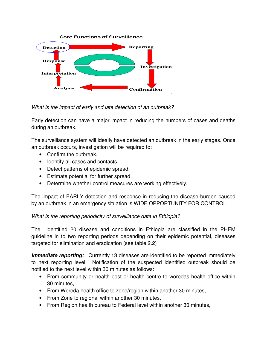

What is the impact of early and late detection of an outbreak?

Early detection can have a major impact in reducing the numbers of cases and deaths during an outbreak.

The surveillance system will ideally have detected an outbreak in the early stages. Once an outbreak occurs, investigation will be required to:

- Confirm the outbreak,
- Identify all cases and contacts,
- Detect patterns of epidemic spread,
- Estimate potential for further spread,
- Determine whether control measures are working effectively.

The impact of EARLY detection and response in reducing the disease burden caused by an outbreak in an emergency situation is WIDE OPPORTUNITY FOR CONTROL.

#### What is the reporting periodicity of surveillance data in Ethiopia?

The identified 20 disease and conditions in Ethiopia are classified in the PHEM guideline in to two reporting periods depending on their epidemic potential, diseases targeted for elimination and eradication (see table 2.2)

**Immediate reporting:** Currently 13 diseases are identified to be reported immediately to next reporting level. Notification of the suspected identified outbreak should be notified to the next level within 30 minutes as follows:

- From community or health post or health centre to woredas health office within 30 minutes,
- From Woreda health office to zone/region within another 30 minutes,
- From Zone to regional within another 30 minutes,
- From Region health bureau to Federal level within another 30 minutes,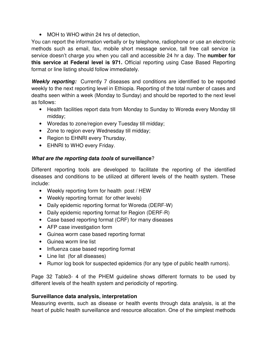• MOH to WHO within 24 hrs of detection.

You can report the information verbally or by telephone, radiophone or use an electronic methods such as email, fax, mobile short message service, tall free call service (a service doesn't charge you when you call and accessible 24 hr a day. The **number for this service at Federal level is 971.** Official reporting using Case Based Reporting format or line listing should follow immediately.

**Weekly reporting:** Currently 7 diseases and conditions are identified to be reported weekly to the next reporting level in Ethiopia. Reporting of the total number of cases and deaths seen within a week (Monday to Sunday) and should be reported to the next level as follows:

- Health facilities report data from Monday to Sunday to Woreda every Monday till midday;
- Woredas to zone/region every Tuesday till midday;
- Zone to region every Wednesday till midday;
- Region to EHNRI every Thursday,
- EHNRI to WHO every Friday.

#### **What are the reporting data tools of surveillance**?

Different reporting tools are developed to facilitate the reporting of the identified diseases and conditions to be utilized at different levels of the health system. These include:

- Weekly reporting form for health post / HEW
- Weekly reporting format for other levels)
- Daily epidemic reporting format for Woreda (DERF-W)
- Daily epidemic reporting format for Region (DERF-R)
- Case based reporting format (CRF) for many diseases
- AFP case investigation form
- Guinea worm case based reporting format
- Guinea worm line list
- Influenza case based reporting format
- Line list (for all diseases)
- Rumor log book for suspected epidemics (for any type of public health rumors).

Page 32 Table3- 4 of the PHEM guideline shows different formats to be used by different levels of the health system and periodicity of reporting.

#### **Surveillance data analysis, interpretation**

Measuring events, such as disease or health events through data analysis, is at the heart of public health surveillance and resource allocation. One of the simplest methods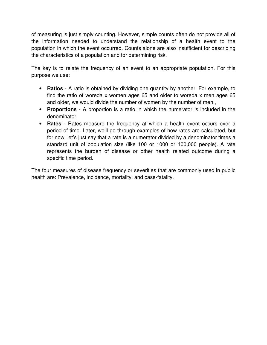of measuring is just simply counting. However, simple counts often do not provide all of the information needed to understand the relationship of a health event to the population in which the event occurred. Counts alone are also insufficient for describing the characteristics of a population and for determining risk.

The key is to relate the frequency of an event to an appropriate population. For this purpose we use:

- **Ratios** A ratio is obtained by dividing one quantity by another. For example, to find the ratio of woreda x women ages 65 and older to woreda x men ages 65 and older, we would divide the number of women by the number of men.,
- **Proportions** A proportion is a ratio in which the numerator is included in the denominator.
- **Rates** Rates measure the frequency at which a health event occurs over a period of time. Later, we'll go through examples of how rates are calculated, but for now, let's just say that a rate is a numerator divided by a denominator times a standard unit of population size (like 100 or 1000 or 100,000 people). A rate represents the burden of disease or other health related outcome during a specific time period.

The four measures of disease frequency or severities that are commonly used in public health are: Prevalence, incidence, mortality, and case-fatality.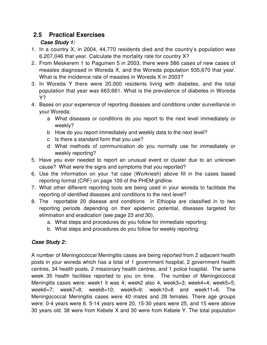## **2.5 Practical Exercises**

## **Case Study 1:**

- 1. In a country X, in 2004, 44,770 residents died and the country's population was 6,207,046 that year. Calculate the mortality rate for country X?
- 2. From Meskerem 1 to Pagumen 5 in 2003, there were 586 cases of new cases of measles diagnosed in Woreda X, and the Woreda population 935,670 that year. What is the incidence rate of measles in Woreda X in 2003?
- 3. In Woreda Y there were 20,000 residents living with diabetes, and the total population that year was 663,661. What is the prevalence of diabetes in Woreda Y?
- 4. Bases on your experience of reporting diseases and conditions under surveillance in your Woreda:
	- a What diseases or conditions do you report to the next level immediately or weekly?
	- b How do you report immediately and weekly data to the next level?
	- c Is there a standard form that you use?
	- d What methods of communication do you normally use for immediately or weekly reporting?
- 5. Have you ever needed to report an unusual event or cluster due to an unknown cause? What were the signs and symptoms that you reported?
- 6. Use the information on your 1st case (Worknesh) above fill in the cases based reporting format (CRF) on page 109 of the PHEM gridline.
- 7. What other different reporting tools are being used in your woreda to facilitate the reporting of identified diseases and conditions to the next level?
- 8. The reportable 20 disease and conditions in Ethiopia are classified in to two reporting periods depending on their epidemic potential, diseases targeted for elimination and eradication (see page 23 and 30).
	- a. What steps and procedures do you follow for immediate reporting:
	- b. What steps and procedures do you follow for weekly reporting:

## **Case Study 2:**

A number of Meningococcal Meningitis cases are being reported from 2 adjacent health posts in your woreda which has a total of 1 government hospital, 2 government health centres, 34 health posts, 2 missionary health centres, and 1 police hospital. The same week 35 health facilities reported to you on time. The number of Meningococcal Meningitis cases were; week1 it was 4; week2 also 4, week3=3; week4=4; week5=5; week6=7; week7=8; week8=10; week9=9; week10=8 and week11=6. The Meningococcal Meningitis cases were 40 males and 28 females. There age groups were: 0-4 years were 8. 5-14 years were 20, 15-30 years were 25, and 15 were above 30 years old. 38 were from Kebele X and 30 were from Kebele Y. The total population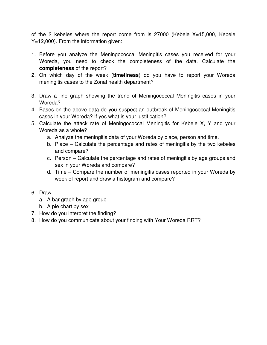of the 2 kebeles where the report come from is 27000 (Kebele X=15,000, Kebele Y=12,000). From the information given:

- 1. Before you analyze the Meningococcal Meningitis cases you received for your Woreda, you need to check the completeness of the data. Calculate the **completeness** of the report?
- 2. On which day of the week (**timeliness**) do you have to report your Woreda meningitis cases to the Zonal health department?
- 3. Draw a line graph showing the trend of Meningococcal Meningitis cases in your Woreda?
- 4. Bases on the above data do you suspect an outbreak of Meningococcal Meningitis cases in your Woreda? If yes what is your justification?
- 5. Calculate the attack rate of Meningococcal Meningitis for Kebele X, Y and your Woreda as a whole?
	- a. Analyze the meningitis data of your Woreda by place, person and time.
	- b. Place Calculate the percentage and rates of meningitis by the two kebeles and compare?
	- c. Person Calculate the percentage and rates of meningitis by age groups and sex in your Woreda and compare?
	- d. Time Compare the number of meningitis cases reported in your Woreda by week of report and draw a histogram and compare?
- 6. Draw
	- a. A bar graph by age group
	- b. A pie chart by sex
- 7. How do you interpret the finding?
- 8. How do you communicate about your finding with Your Woreda RRT?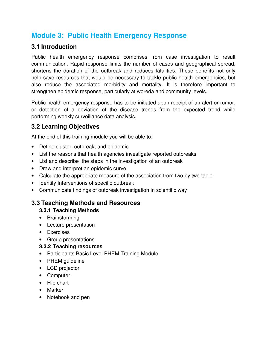## **Module 3: Public Health Emergency Response**

## **3.1 Introduction**

Public health emergency response comprises from case investigation to result communication. Rapid response limits the number of cases and geographical spread, shortens the duration of the outbreak and reduces fatalities. These benefits not only help save resources that would be necessary to tackle public health emergencies, but also reduce the associated morbidity and mortality. It is therefore important to strengthen epidemic response, particularly at woreda and community levels.

Public health emergency response has to be initiated upon receipt of an alert or rumor, or detection of a deviation of the disease trends from the expected trend while performing weekly surveillance data analysis.

## **3.2 Learning Objectives**

At the end of this training module you will be able to:

- Define cluster, outbreak, and epidemic
- List the reasons that health agencies investigate reported outbreaks
- List and describe the steps in the investigation of an outbreak
- Draw and interpret an epidemic curve
- Calculate the appropriate measure of the association from two by two table
- Identify Interventions of specific outbreak
- Communicate findings of outbreak investigation in scientific way

## **3.3 Teaching Methods and Resources**

#### **3.3.1 Teaching Methods**

- Brainstorming
- Lecture presentation
- Exercises
- Group presentations

#### **3.3.2 Teaching resources**

- Participants Basic Level PHEM Training Module
- PHEM guideline
- LCD projector
- Computer
- Flip chart
- Marker
- Notebook and pen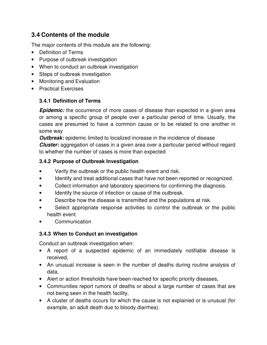## **3.4 Contents of the module**

The major contents of this module are the following:

- Definition of Terms
- Purpose of outbreak investigation
- When to conduct an outbreak investigation
- Steps of outbreak investigation
- Monitoring and Evaluation
- Practical Exercises

#### **3.4.1 Definition of Terms**

**Epidemic:** the occurrence of more cases of disease than expected in a given area or among a specific group of people over a particular period of time. Usually, the cases are presumed to have a common cause or to be related to one another in some way

**Outbreak:** epidemic limited to localized increase in the incidence of disease **Cluster:** aggregation of cases in a given area over a particular period without regard to whether the number of cases is more than expected

#### **3.4.2 Purpose of Outbreak Investigation**

- Verify the outbreak or the public health event and risk.
- Identify and treat additional cases that have not been reported or recognized.
- Collect information and laboratory specimens for confirming the diagnosis.
- Identify the source of infection or cause of the outbreak.
- Describe how the disease is transmitted and the populations at risk.
- Select appropriate response activities to control the outbreak or the public health event
- Communication

#### **3.4.3 When to Conduct an investigation**

Conduct an outbreak investigation when:

- A report of a suspected epidemic of an immediately notifiable disease is received,
- An unusual increase is seen in the number of deaths during routine analysis of data,
- Alert or action thresholds have been reached for specific priority diseases,
- Communities report rumors of deaths or about a large number of cases that are not being seen in the health facility,
- A cluster of deaths occurs for which the cause is not explained or is unusual (for example, an adult death due to bloody diarrhea).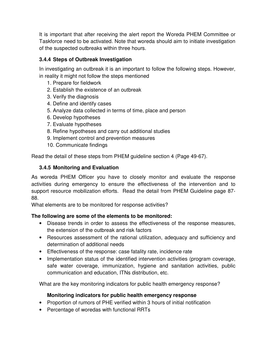It is important that after receiving the alert report the Woreda PHEM Committee or Taskforce need to be activated. Note that woreda should aim to initiate investigation of the suspected outbreaks within three hours.

#### **3.4.4 Steps of Outbreak Investigation**

In investigating an outbreak it is an important to follow the following steps. However, in reality it might not follow the steps mentioned

- 1. Prepare for fieldwork
- 2. Establish the existence of an outbreak
- 3. Verify the diagnosis
- 4. Define and identify cases
- 5. Analyze data collected in terms of time, place and person
- 6. Develop hypotheses
- 7. Evaluate hypotheses
- 8. Refine hypotheses and carry out additional studies
- 9. Implement control and prevention measures
- 10. Communicate findings

Read the detail of these steps from PHEM guideline section 4 (Page 49-67).

#### **3.4.5 Monitoring and Evaluation**

As woreda PHEM Officer you have to closely monitor and evaluate the response activities during emergency to ensure the effectiveness of the intervention and to support resource mobilization efforts. Read the detail from PHEM Guideline page 87- 88.

What elements are to be monitored for response activities?

#### **The following are some of the elements to be monitored:**

- Disease trends in order to assess the effectiveness of the response measures, the extension of the outbreak and risk factors
- Resources assessment of the rational utilization, adequacy and sufficiency and determination of additional needs
- Effectiveness of the response: case fatality rate, incidence rate
- Implementation status of the identified intervention activities (program coverage, safe water coverage, immunization, hygiene and sanitation activities, public communication and education, ITNs distribution, etc.

What are the key monitoring indicators for public health emergency response?

#### **Monitoring indicators for public health emergency response**

- Proportion of rumors of PHE verified within 3 hours of initial notification
- Percentage of woredas with functional RRTs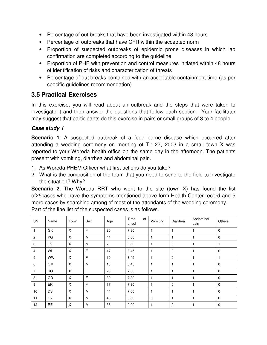- Percentage of out breaks that have been investigated within 48 hours
- Percentage of outbreaks that have CFR within the accepted norm
- Proportion of suspected outbreaks of epidemic prone diseases in which lab confirmation are completed according to the guideline
- Proportion of PHE with prevention and control measures initiated within 48 hours of identification of risks and characterization of threats
- Percentage of out breaks contained with an acceptable containment time (as per specific guidelines recommendation)

#### **3.5 Practical Exercises**

In this exercise, you will read about an outbreak and the steps that were taken to investigate it and then answer the questions that follow each section. Your facilitator may suggest that participants do this exercise in pairs or small groups of 3 to 4 people.

#### **Case study 1**

**Scenario 1**: A suspected outbreak of a food borne disease which occurred after attending a wedding ceremony on morning of Tir 27, 2003 in a small town X was reported to your Woreda health office on the same day in the afternoon. The patients present with vomiting, diarrhea and abdominal pain.

- 1. As Woreda PHEM Officer what first actions do you take?
- 2. What is the composition of the team that you need to send to the field to investigate the situation? Why?

**Scenario 2**: The Woreda RRT who went to the site (town X) has found the list of25cases who have the symptoms mentioned above form Health Center record and 5 more cases by searching among of most of the attendants of the wedding ceremony. Part of the line list of the suspected cases is as follows.

| SN             | Name      | Town | Sex | Age            | Time<br>of<br>onset | Vomiting     | Diarrhea    | Abdominal<br>pain | Others       |
|----------------|-----------|------|-----|----------------|---------------------|--------------|-------------|-------------------|--------------|
| $\mathbf{1}$   | GK        | X    | F   | 20             | 7:30                |              | 1           |                   | $\mathbf 0$  |
| $\overline{2}$ | PG        | X    | M   | 44             | 8:00                |              | 1           |                   | $\mathbf 0$  |
| 3              | JK        | X    | M   | $\overline{7}$ | 8:30                | 1            | $\mathbf 0$ |                   | 1            |
| $\overline{4}$ | WL        | X    | F   | 47             | 8:45                | 1            | $\mathbf 0$ |                   | $\mathbf 0$  |
| 5              | <b>WW</b> | X    | F   | 10             | 8:45                | 1            | $\mathbf 0$ |                   | $\mathbf{1}$ |
| 6              | <b>OM</b> | X    | M   | 13             | 8:45                |              | 1           |                   | 0            |
| $\overline{7}$ | <b>SO</b> | X    | F   | 20             | 7:30                | 1            | 1           |                   | $\mathbf 0$  |
| 8              | OD        | X    | F   | 39             | 7:30                | 1            | 1           |                   | $\mathbf 0$  |
| 9              | ER        | X    | F   | 17             | 7:30                | 1            | $\mathbf 0$ |                   | $\mathbf 0$  |
| 10             | DS        | X    | M   | 44             | 7:00                | $\mathbf{1}$ | 1           |                   | $\mathbf 0$  |
| 11             | LK        | X    | M   | 46             | 8:30                | $\mathbf 0$  | 1           |                   | $\mathbf 0$  |
| 12             | <b>RE</b> | X    | M   | 38             | 9:00                | 1            | $\mathbf 0$ |                   | $\mathbf 0$  |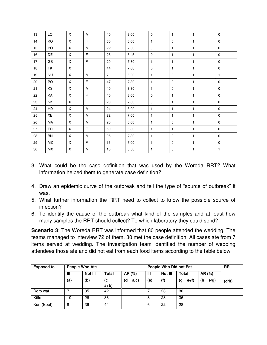| 13     | LO        | X           | M           | 40             | 8:00 | $\mathbf 0$  | $\mathbf{1}$ | $\mathbf{1}$ | $\pmb{0}$    |
|--------|-----------|-------------|-------------|----------------|------|--------------|--------------|--------------|--------------|
| 14     | KO        | X           | F           | 60             | 8:00 | $\mathbf{1}$ | $\mathbf 0$  | $\mathbf{1}$ | $\mathbf 0$  |
| 15     | PO        | X           | M           | 22             | 7:00 | 0            | $\mathbf{1}$ | $\mathbf{1}$ | $\mathbf 0$  |
| 16     | DE        | X           | $\mathsf F$ | 28             | 8:45 | $\mathbf 0$  | $\mathbf{1}$ | $\mathbf{1}$ | $\mathbf 0$  |
| 17     | GS        | X           | $\mathsf F$ | 20             | 7:30 | $\mathbf{1}$ | $\mathbf{1}$ | $\mathbf{1}$ | $\mathbf 0$  |
| $18\,$ | FK        | X           | F           | 44             | 7:00 | $\mathbf 0$  | $\mathbf{1}$ | $\mathbf{1}$ | $\pmb{0}$    |
| 19     | <b>NU</b> | $\mathsf X$ | M           | $\overline{7}$ | 8:00 | $\mathbf{1}$ | $\mathbf 0$  | 1            | $\mathbf{1}$ |
| 20     | PQ        | X           | F           | 47             | 7:30 | $\mathbf{1}$ | $\mathbf 0$  | $\mathbf{1}$ | $\mathbf 0$  |
| 21     | KS        | X           | M           | 40             | 8:30 | $\mathbf{1}$ | $\mathbf 0$  | $\mathbf{1}$ | $\mathbf 0$  |
| 22     | KA        | X           | F           | 40             | 8:00 | $\mathbf 0$  | $\mathbf{1}$ | $\mathbf{1}$ | $\mathbf 0$  |
| 23     | NΚ        | X           | F           | 20             | 7:30 | $\mathbf 0$  | $\mathbf{1}$ | 1            | $\mathbf 0$  |
| 24     | HD        | X           | M           | 24             | 8:00 | $\mathbf{1}$ | $\mathbf{1}$ | $\mathbf{1}$ | $\mathbf 0$  |
| 25     | XE        | X           | M           | 22             | 7:00 | $\mathbf{1}$ | $\mathbf{1}$ | $\mathbf{1}$ | $\mathbf 0$  |
| 26     | МA        | X           | M           | 20             | 6:00 | $\mathbf{1}$ | $\mathbf 0$  | $\mathbf{1}$ | $\mathbf 0$  |
| 27     | ER        | $\mathsf X$ | F           | 50             | 8:30 | $\mathbf{1}$ | $\mathbf{1}$ | $\mathbf{1}$ | $\mathbf 0$  |
| 28     | <b>BN</b> | X           | M           | 26             | 7:30 | $\mathbf{1}$ | $\mathbf 0$  | $\mathbf{1}$ | $\mathbf 0$  |
| 29     | MZ        | X           | F           | 16             | 7:00 | $\mathbf{1}$ | $\mathbf 0$  | $\mathbf{1}$ | $\mathbf 0$  |
| 30     | МX        | X           | M           | 10             | 8:30 | $\mathbf{1}$ | $\mathbf 0$  | 1            | $\mathbf{1}$ |

- 3. What could be the case definition that was used by the Woreda RRT? What information helped them to generate case definition?
- 4. Draw an epidemic curve of the outbreak and tell the type of "source of outbreak" it was.
- 5. What further information the RRT need to collect to know the possible source of infection?
- 6. To identify the cause of the outbreak what kind of the samples and at least how many samples the RRT should collect? To which laboratory they could send?

**Scenario 3**: The Woreda RRT was informed that 80 people attended the wedding. The teams managed to interview 72 of them, 30 met the case definition. All cases ate from 7 items served at wedding. The investigation team identified the number of wedding attendees those ate and did not eat from each food items according to the table below.

| <b>Exposed to</b> | <b>People Who Ate</b> |         |                |             | People Who Did not Eat | <b>RR</b> |               |             |       |
|-------------------|-----------------------|---------|----------------|-------------|------------------------|-----------|---------------|-------------|-------|
|                   | Ш                     | Not III | <b>Total</b>   | AR (%)      | Not III<br>Ш           |           | <b>Total</b>  | AR (%)      |       |
|                   | (a)                   | (b)     | (c<br>$\equiv$ | $(d = a/c)$ | (e)                    | (f)       | $(g = e + f)$ | $(h = e/g)$ | (d/h) |
|                   |                       |         | $a+b$          |             |                        |           |               |             |       |
| Doro wat          |                       | 35      | 42             |             |                        | 23        | 30            |             |       |
| Kitfo             | 10                    | 26      | 36             |             | 8                      | 28        | 36            |             |       |
| Kurt (Beef)       | 8                     | 36      | 44             |             | 6                      | 22        | 28            |             |       |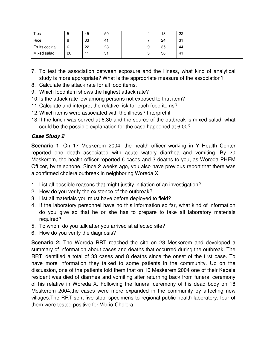| Tibs            | ∽<br>J | 45 | 50             |    | 18 | 22  |  |
|-----------------|--------|----|----------------|----|----|-----|--|
| Rice            | U      | 33 | 4 <sup>1</sup> |    | 24 | -31 |  |
| Fruits cocktail | ь      | 22 | 28             | .ט | 35 | 44  |  |
| Mixed salad     | 20     |    | 31             | ں  | 38 | -41 |  |

- 7. To test the association between exposure and the illness, what kind of analytical study is more appropriate? What is the appropriate measure of the association?
- 8. Calculate the attack rate for all food items.
- 9. Which food item shows the highest attack rate?
- 10. Is the attack rate low among persons not exposed to that item?
- 11. Calculate and interpret the relative risk for each food items?
- 12. Which items were associated with the illness? Interpret it
- 13. If the lunch was served at 6:30 and the source of the outbreak is mixed salad, what could be the possible explanation for the case happened at 6:00?

#### **Case Study 2**

**Scenario 1**: On 17 Meskerem 2004, the health officer working in Y Health Center reported one death associated with acute watery diarrhea and vomiting. By 20 Meskerem, the health officer reported 6 cases and 3 deaths to you, as Woreda PHEM Officer, by telephone. Since 2 weeks ago, you also have previous report that there was a confirmed cholera outbreak in neighboring Woreda X.

- 1. List all possible reasons that might justify initiation of an investigation?
- 2. How do you verify the existence of the outbreak?
- 3. List all materials you must have before deployed to field?
- 4. If the laboratory personnel have no this information so far, what kind of information do you give so that he or she has to prepare to take all laboratory materials required?
- 5. To whom do you talk after you arrived at affected site?
- 6. How do you verify the diagnosis?

**Scenario 2:** The Woreda RRT reached the site on 23 Meskerem and developed a summary of information about cases and deaths that occurred during the outbreak. The RRT identified a total of 33 cases and 8 deaths since the onset of the first case. To have more information they talked to some patients in the community. Up on the discussion, one of the patients told them that on 16 Meskerem 2004 one of their Kebele resident was died of diarrhea and vomiting after returning back from funeral ceremony of his relative in Woreda X. Following the funeral ceremony of his dead body on 18 Meskerem 2004,the cases were more expanded in the community by affecting new villages.The RRT sent five stool specimens to regional public health laboratory, four of them were tested positive for Vibrio-Cholera.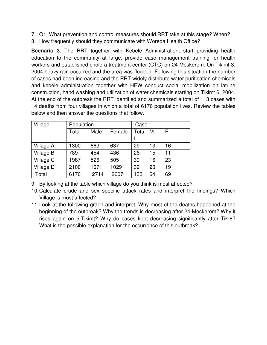- 7. Q1. What prevention and control measures should RRT take at this stage? When?
- 8. How frequently should they communicate with Woreda Health Office?

**Scenario 3**: The RRT together with Kebele Administration, start providing health education to the community at large, provide case management training for health workers and established cholera treatment center (CTC) on 24 Meskerem. On Tikimt 3, 2004 heavy rain occurred and the area was flooded. Following this situation the number of cases had been increasing and the RRT widely distribute water purification chemicals and kebele administration together with HEW conduct social mobilization on latrine construction, hand washing and utilization of water chemicals starting on Tikimt 6, 2004. At the end of the outbreak the RRT identified and summarized a total of 113 cases with 14 deaths from four villages in which a total of 6176 population lives. Review the tables below and then answer the questions that follow.

| Village   | Population |      |        | Case |    |    |  |
|-----------|------------|------|--------|------|----|----|--|
|           | Total      | Male | Female |      | M  | F  |  |
|           |            |      |        |      |    |    |  |
| Village A | 1300       | 663  | 637    | 29   | 13 | 16 |  |
| Village B | 789        | 454  | 436    | 26   | 15 | 11 |  |
| Village C | 1987       | 526  | 505    | 39   | 16 | 23 |  |
| Village D | 2100       | 1071 | 1029   | 39   | 20 | 19 |  |
| Total     | 6176       | 2714 | 2607   | 133  | 64 | 69 |  |

9. By looking at the table which village do you think is most affected?

- 10. Calculate crude and sex specific attack rates and interpret the findings? Which Village is most affected?
- 11. Look at the following graph and interpret. Why most of the deaths happened at the beginning of the outbreak? Why the trends is decreasing after 24-Meskerem? Why it rises again on 5-Tikimt? Why do cases kept decreasing significantly after Tik-8? What is the possible explanation for the occurrence of this outbreak?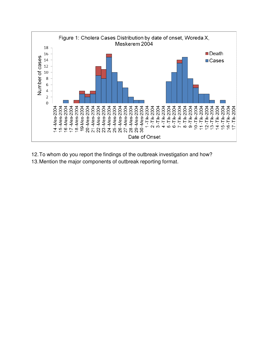

12. To whom do you report the findings of the outbreak investigation and how? 13. Mention the major components of outbreak reporting format.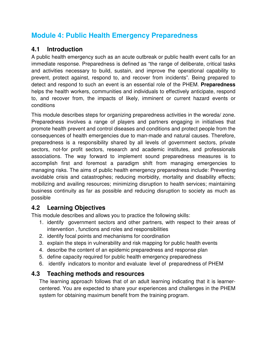## **Module 4: Public Health Emergency Preparedness**

## **4.1 Introduction**

A public health emergency such as an acute outbreak or public health event calls for an immediate response. Preparedness is defined as "the range of deliberate, critical tasks and activities necessary to build, sustain, and improve the operational capability to prevent, protect against, respond to, and recover from incidents". Being prepared to detect and respond to such an event is an essential role of the PHEM. **Preparedness**  helps the health workers, communities and individuals to effectively anticipate, respond to, and recover from, the impacts of likely, imminent or current hazard events or conditions

This module describes steps for organizing preparedness activities in the woreda/ zone. Preparedness involves a range of players and partners engaging in initiatives that promote health prevent and control diseases and conditions and protect people from the consequences of health emergencies due to man-made and natural causes. Therefore, preparedness is a responsibility shared by all levels of government sectors, private sectors, not-for profit sectors, research and academic institutes, and professionals associations. The way forward to implement sound preparedness measures is to accomplish first and foremost a paradigm shift from managing emergencies to managing risks. The aims of public health emergency preparedness include: Preventing avoidable crisis and catastrophes; reducing morbidity, mortality and disability effects; mobilizing and availing resources; minimizing disruption to health services; maintaining business continuity as far as possible and reducing disruption to society as much as possible

## **4.2 Learning Objectives**

This module describes and allows you to practice the following skills:

- 1. identify government sectors and other partners, with respect to their areas of intervention , functions and roles and responsibilities
- 2. identify focal points and mechanisms for coordination
- 3. explain the steps in vulnerability and risk mapping for public health events
- 4. describe the content of an epidemic preparedness and response plan
- 5. define capacity required for public health emergency preparedness
- 6. identify indicators to monitor and evaluate level of preparedness of PHEM

## **4.3 Teaching methods and resources**

The learning approach follows that of an adult learning indicating that it is learnercentered. You are expected to share your experiences and challenges in the PHEM system for obtaining maximum benefit from the training program.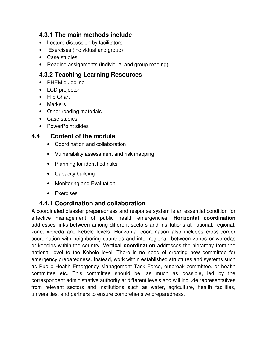### **4.3.1 The main methods include:**

- Lecture discussion by facilitators
- Exercises (individual and group)
- Case studies
- Reading assignments (Individual and group reading)

## **4.3.2 Teaching Learning Resources**

- PHEM guideline
- LCD projector
- Flip Chart
- Markers
- Other reading materials
- Case studies
- PowerPoint slides

## **4.4 Content of the module**

- Coordination and collaboration
- Vulnerability assessment and risk mapping
- Planning for identified risks
- Capacity building
- Monitoring and Evaluation
- Exercises

## **4.4.1 Coordination and collaboration**

A coordinated disaster preparedness and response system is an essential condition for effective management of public health emergencies. **Horizontal coordination** addresses links between among different sectors and institutions at national, regional, zone, woreda and kebele levels. Horizontal coordination also includes cross-border coordination with neighboring countries and inter-regional, between zones or woredas or kebeles within the country. **Vertical coordination** addresses the hierarchy from the national level to the Kebele level. There is no need of creating new committee for emergency preparedness. Instead, work within established structures and systems such as Public Health Emergency Management Task Force, outbreak committee, or health committee etc. This committee should be, as much as possible, led by the correspondent administrative authority at different levels and will include representatives from relevant sectors and institutions such as water, agriculture, health facilities, universities, and partners to ensure comprehensive preparedness.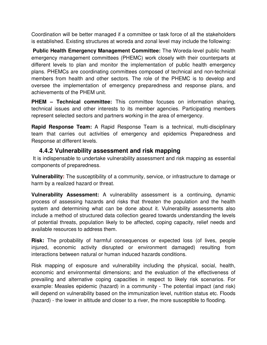Coordination will be better managed if a committee or task force of all the stakeholders is established. Existing structures at woreda and zonal level may include the following:

 **Public Health Emergency Management Committee:** The Woreda-level public health emergency management committees (PHEMC) work closely with their counterparts at different levels to plan and monitor the implementation of public health emergency plans. PHEMCs are coordinating committees composed of technical and non-technical members from health and other sectors. The role of the PHEMC is to develop and oversee the implementation of emergency preparedness and response plans, and achievements of the PHEM unit.

**PHEM – Technical committee:** This committee focuses on information sharing, technical issues and other interests to its member agencies. Participating members represent selected sectors and partners working in the area of emergency.

**Rapid Response Team:** A Rapid Response Team is a technical, multi-disciplinary team that carries out activities of emergency and epidemics Preparedness and Response at different levels.

#### **4.4.2 Vulnerability assessment and risk mapping**

It is indispensable to undertake vulnerability assessment and risk mapping as essential components of preparedness.

**Vulnerability:** The susceptibility of a community, service, or infrastructure to damage or harm by a realized hazard or threat.

**Vulnerability Assessment:** A vulnerability assessment is a continuing, dynamic process of assessing hazards and risks that threaten the population and the health system and determining what can be done about it. Vulnerability assessments also include a method of structured data collection geared towards understanding the levels of potential threats, population likely to be affected, coping capacity, relief needs and available resources to address them.

**Risk:** The probability of harmful consequences or expected loss (of lives, people injured, economic activity disrupted or environment damaged) resulting from interactions between natural or human induced hazards conditions.

Risk mapping of exposure and vulnerability including the physical, social, health, economic and environmental dimensions; and the evaluation of the effectiveness of prevailing and alternative coping capacities in respect to likely risk scenarios. For example: Measles epidemic (hazard) in a community - The potential impact (and risk) will depend on vulnerability based on the immunization level, nutrition status etc. Floods (hazard) - the lower in altitude and closer to a river, the more susceptible to flooding.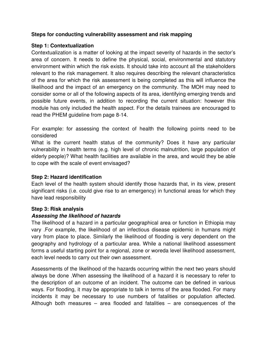#### **Steps for conducting vulnerability assessment and risk mapping**

#### **Step 1: Contextualization**

Contextualization is a matter of looking at the impact severity of hazards in the sector's area of concern. It needs to define the physical, social, environmental and statutory environment within which the risk exists. It should take into account all the stakeholders relevant to the risk management. It also requires describing the relevant characteristics of the area for which the risk assessment is being completed as this will influence the likelihood and the impact of an emergency on the community. The MOH may need to consider some or all of the following aspects of its area, identifying emerging trends and possible future events, in addition to recording the current situation: however this module has only included the health aspect. For the details trainees are encouraged to read the PHEM guideline from page 8-14.

For example: for assessing the context of health the following points need to be considered

What is the current health status of the community? Does it have any particular vulnerability in health terms (e.g. high level of chronic malnutrition, large population of elderly people)? What health facilities are available in the area, and would they be able to cope with the scale of event envisaged?

#### **Step 2: Hazard identification**

Each level of the health system should identify those hazards that, in its view, present significant risks (i.e. could give rise to an emergency) in functional areas for which they have lead responsibility

#### **Step 3: Risk analysis**

#### **Assessing the likelihood of hazards**

The likelihood of a hazard in a particular geographical area or function in Ethiopia may vary .For example, the likelihood of an infectious disease epidemic in humans might vary from place to place. Similarly the likelihood of flooding is very dependent on the geography and hydrology of a particular area. While a national likelihood assessment forms a useful starting point for a regional, zone or woreda level likelihood assessment, each level needs to carry out their own assessment.

Assessments of the likelihood of the hazards occurring within the next two years should always be done .When assessing the likelihood of a hazard it is necessary to refer to the description of an outcome of an incident. The outcome can be defined in various ways. For flooding, it may be appropriate to talk in terms of the area flooded. For many incidents it may be necessary to use numbers of fatalities or population affected. Although both measures – area flooded and fatalities – are consequences of the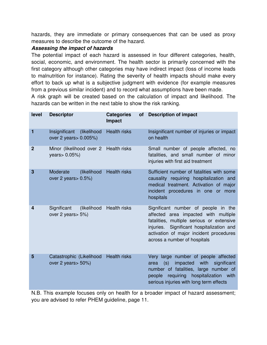hazards, they are immediate or primary consequences that can be used as proxy measures to describe the outcome of the hazard.

#### **Assessing the impact of hazards**

The potential impact of each hazard is assessed in four different categories, health, social, economic, and environment. The health sector is primarily concerned with the first category although other categories may have indirect impact (loss of income leads to malnutrition for instance). Rating the severity of health impacts should make every effort to back up what is a subjective judgment with evidence (for example measures from a previous similar incident) and to record what assumptions have been made.

A risk graph will be created based on the calculation of impact and likelihood. The hazards can be written in the next table to show the risk ranking.

| level        | <b>Descriptor</b>                                      | <b>Categories</b><br><b>of</b><br>Impact | <b>Description of impact</b>                                                                                                                                                                                                                     |
|--------------|--------------------------------------------------------|------------------------------------------|--------------------------------------------------------------------------------------------------------------------------------------------------------------------------------------------------------------------------------------------------|
| 1            | Insignificant<br>(likelihood<br>over 2 years > 0.005%) | <b>Health risks</b>                      | Insignificant number of injuries or impact<br>on health                                                                                                                                                                                          |
| $\mathbf{2}$ | Minor (likelihood over 2<br>years > 0.05%)             | <b>Health risks</b>                      | Small number of people affected, no<br>fatalities, and small number of minor<br>injuries with first aid treatment                                                                                                                                |
| 3            | Moderate<br>(likelihood<br>over 2 years > 0.5%)        | <b>Health risks</b>                      | Sufficient number of fatalities with some<br>causality requiring hospitalization and<br>medical treatment. Activation of major<br>incident procedures in one<br>more<br><b>or</b><br>hospitals                                                   |
| 4            | Significant<br>(likelihood<br>over 2 years > 5%)       | Health risks                             | Significant number of people in the<br>affected area impacted with multiple<br>fatalities, multiple serious or extensive<br>injuries. Significant hospitalization and<br>activation of major incident procedures<br>across a number of hospitals |
| 5            | Catastrophic (Likelihood<br>over 2 years > 50%)        | <b>Health risks</b>                      | Very large number of people affected<br>impacted<br>(s)<br>with<br>significant<br>area<br>number of fatalities, large<br>number of<br>requiring hospitalization with<br>people<br>serious injuries with long term effects                        |

N.B. This example focuses only on health for a broader impact of hazard assessment; you are advised to refer PHEM guideline, page 11.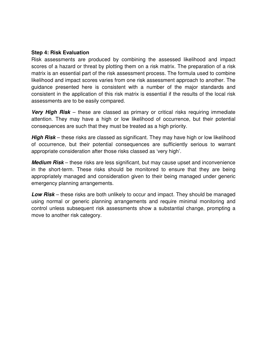#### **Step 4: Risk Evaluation**

Risk assessments are produced by combining the assessed likelihood and impact scores of a hazard or threat by plotting them on a risk matrix. The preparation of a risk matrix is an essential part of the risk assessment process. The formula used to combine likelihood and impact scores varies from one risk assessment approach to another. The guidance presented here is consistent with a number of the major standards and consistent in the application of this risk matrix is essential if the results of the local risk assessments are to be easily compared.

**Very High Risk** – these are classed as primary or critical risks requiring immediate attention. They may have a high or low likelihood of occurrence, but their potential consequences are such that they must be treated as a high priority.

**High Risk** – these risks are classed as significant. They may have high or low likelihood of occurrence, but their potential consequences are sufficiently serious to warrant appropriate consideration after those risks classed as 'very high'.

**Medium Risk** – these risks are less significant, but may cause upset and inconvenience in the short-term. These risks should be monitored to ensure that they are being appropriately managed and consideration given to their being managed under generic emergency planning arrangements.

**Low Risk** – these risks are both unlikely to occur and impact. They should be managed using normal or generic planning arrangements and require minimal monitoring and control unless subsequent risk assessments show a substantial change, prompting a move to another risk category.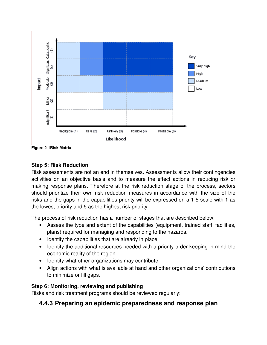

**Figure 2-1Risk Matrix** 

#### **Step 5: Risk Reduction**

Risk assessments are not an end in themselves. Assessments allow their contingencies activities on an objective basis and to measure the effect actions in reducing risk or making response plans. Therefore at the risk reduction stage of the process, sectors should prioritize their own risk reduction measures in accordance with the size of the risks and the gaps in the capabilities priority will be expressed on a 1-5 scale with 1 as the lowest priority and 5 as the highest risk priority.

The process of risk reduction has a number of stages that are described below:

- Assess the type and extent of the capabilities (equipment, trained staff, facilities, plans) required for managing and responding to the hazards.
- Identify the capabilities that are already in place
- Identify the additional resources needed with a priority order keeping in mind the economic reality of the region.
- Identify what other organizations may contribute.
- Align actions with what is available at hand and other organizations' contributions to minimize or fill gaps.

#### **Step 6: Monitoring, reviewing and publishing**

Risks and risk treatment programs should be reviewed regularly:

#### **4.4.3 Preparing an epidemic preparedness and response plan**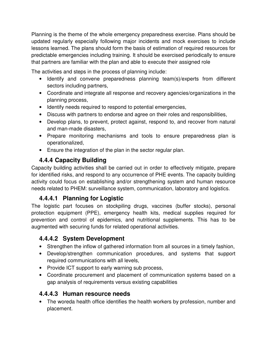Planning is the theme of the whole emergency preparedness exercise. Plans should be updated regularly especially following major incidents and mock exercises to include lessons learned. The plans should form the basis of estimation of required resources for predictable emergencies including training. It should be exercised periodically to ensure that partners are familiar with the plan and able to execute their assigned role

The activities and steps in the process of planning include:

- Identify and convene preparedness planning team(s)/experts from different sectors including partners,
- Coordinate and integrate all response and recovery agencies/organizations in the planning process,
- Identify needs required to respond to potential emergencies,
- Discuss with partners to endorse and agree on their roles and responsibilities,
- Develop plans, to prevent, protect against, respond to, and recover from natural and man-made disasters,
- Prepare monitoring mechanisms and tools to ensure preparedness plan is operationalized,
- Ensure the integration of the plan in the sector regular plan.

## **4.4.4 Capacity Building**

Capacity building activities shall be carried out in order to effectively mitigate, prepare for identified risks, and respond to any occurrence of PHE events. The capacity building activity could focus on establishing and/or strengthening system and human resource needs related to PHEM: surveillance system, communication, laboratory and logistics.

## **4.4.4.1 Planning for Logistic**

The logistic part focuses on stockpiling drugs, vaccines (buffer stocks), personal protection equipment (PPE), emergency health kits, medical supplies required for prevention and control of epidemics, and nutritional supplements. This has to be augmented with securing funds for related operational activities.

## **4.4.4.2 System Development**

- Strengthen the inflow of gathered information from all sources in a timely fashion,
- Develop/strengthen communication procedures, and systems that support required communications with all levels,
- Provide ICT support to early warning sub process,
- Coordinate procurement and placement of communication systems based on a gap analysis of requirements versus existing capabilities

## **4.4.4.3 Human resource needs**

• The woreda health office identifies the health workers by profession, number and placement.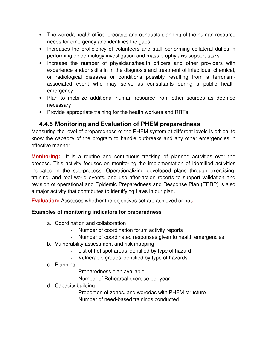- The woreda health office forecasts and conducts planning of the human resource needs for emergency and identifies the gaps.
- Increases the proficiency of volunteers and staff performing collateral duties in performing epidemiology investigation and mass prophylaxis support tasks
- Increase the number of physicians/health officers and other providers with experience and/or skills in in the diagnosis and treatment of infectious, chemical, or radiological diseases or conditions possibly resulting from a terrorismassociated event who may serve as consultants during a public health emergency
- Plan to mobilize additional human resource from other sources as deemed necessary
- Provide appropriate training for the health workers and RRTs

## **4.4.5 Monitoring and Evaluation of PHEM preparedness**

Measuring the level of preparedness of the PHEM system at different levels is critical to know the capacity of the program to handle outbreaks and any other emergencies in effective manner

**Monitoring:** It is a routine and continuous tracking of planned activities over the process. This activity focuses on monitoring the implementation of identified activities indicated in the sub-process. Operationalizing developed plans through exercising, training, and real world events, and use after-action reports to support validation and revision of operational and Epidemic Preparedness and Response Plan (EPRP) is also a major activity that contributes to identifying flaws in our plan.

**Evaluation:** Assesses whether the objectives set are achieved or not**.** 

#### **Examples of monitoring indicators for preparedness**

- a. Coordination and collaboration
	- Number of coordination forum activity reports
	- Number of coordinated responses given to health emergencies
- b. Vulnerability assessment and risk mapping
	- List of hot spot areas identified by type of hazard
	- Vulnerable groups identified by type of hazards
- c. Planning
	- Preparedness plan available
	- Number of Rehearsal exercise per year
- d. Capacity building
	- Proportion of zones, and woredas with PHEM structure
	- Number of need-based trainings conducted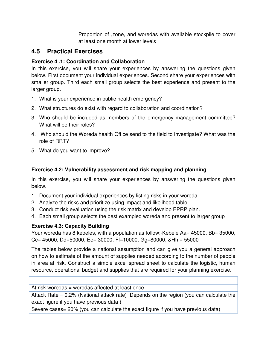- Proportion of ,zone, and woredas with available stockpile to cover at least one month at lower levels

## **4.5 Practical Exercises**

#### **Exercise 4 .1: Coordination and Collaboration**

In this exercise, you will share your experiences by answering the questions given below. First document your individual experiences. Second share your experiences with smaller group. Third each small group selects the best experience and present to the larger group.

- 1. What is your experience in public health emergency?
- 2. What structures do exist with regard to collaboration and coordination?
- 3. Who should be included as members of the emergency management committee? What will be their roles?
- 4. Who should the Woreda health Office send to the field to investigate? What was the role of RRT?
- 5. What do you want to improve?

#### **Exercise 4.2: Vulnerability assessment and risk mapping and planning**

In this exercise, you will share your experiences by answering the questions given below.

- 1. Document your individual experiences by listing risks in your woreda
- 2. Analyze the risks and prioritize using impact and likelihood table
- 3. Conduct risk evaluation using the risk matrix and develop EPRP plan.
- 4. Each small group selects the best exampled woreda and present to larger group

#### **Exercise 4.3: Capacity Building**

Your woreda has 8 kebeles, with a population as follow:-Kebele Aa= 45000, Bb= 35000,  $Cc = 45000$ , Dd=50000, Ee= 30000, Ff=10000, Gg=80000, &Hh = 55000

The tables below provide a national assumption and can give you a general approach on how to estimate of the amount of supplies needed according to the number of people in area at risk. Construct a simple excel spread sheet to calculate the logistic, human resource, operational budget and supplies that are required for your planning exercise.

At risk woredas = woredas affected at least once

Attack Rate = 0.2% (National attack rate) Depends on the region (you can calculate the exact figure if you have previous data )

Severe cases= 20% (you can calculate the exact figure if you have previous data)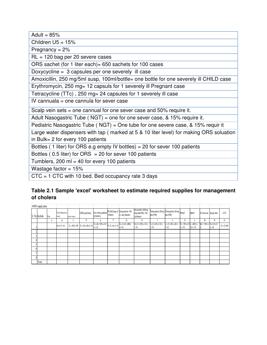| Adult = $85%$                                                                           |
|-----------------------------------------------------------------------------------------|
| Children $U5 = 15%$                                                                     |
| Pregnancy = $2\%$                                                                       |
| $RL = 120$ bag per 20 severe cases                                                      |
| ORS sachet (for 1 liter each) = 650 sachets for 100 cases                               |
| Doxycycline = 3 capsules per one severely ill case                                      |
| Amoxicillin, 250 mg/5ml susp, 100ml/bottle= one bottle for one severely ill CHILD case  |
| Erythromycin, 250 mg= 12 capsuls for 1 severely ill Pregnant case                       |
| Tetracycline (TTc), 250 mg= 24 capsules for 1 severely ill case                         |
| IV cannuala = one cannula for sever case                                                |
| Scalp vein sets = one cannual for one sever case and $50\%$ require it.                 |
| Adult Nasogastric Tube ( $NGT$ ) = one for one sever case, & 15% require it.            |
| Pediatric Nasogastric Tube (NGT) = One tube for one severe case, & 15% requir it        |
| Large water dispensers with tap (marked at 5 & 10 liter level) for making ORS soluation |
| in Bulk= $2$ for every 100 patients                                                     |
| Bottles (1 liter) for ORS e.g empty IV bottles) = 20 for sever 100 patients             |
| Bottles (0.5 liter) for ORS = 20 for sever 100 patients                                 |
| Tumblers, 200 ml = 40 for every 100 patients                                            |
| Wastage factor = $15%$                                                                  |
| $CTC = 1$ CTC with 10 bed. Bed occupancy rate 3 days                                    |

#### **Table 2.1 Sample 'excel' worksheet to estimate required supplies for management of cholera**

| AWD supply plan |     |                                |             |                                  |                                                                                                  |        |                                                                   |                                                     |                                                        |                              |                                                |        |                                           |       |             |
|-----------------|-----|--------------------------------|-------------|----------------------------------|--------------------------------------------------------------------------------------------------|--------|-------------------------------------------------------------------|-----------------------------------------------------|--------------------------------------------------------|------------------------------|------------------------------------------------|--------|-------------------------------------------|-------|-------------|
| S. No Kebele    | Pop | <b>Total Expected</b><br>cases | sever cases | ORS [satchets]                   | (children)                                                                                       | 1000ml | Zinc 20mg tablets RL/NS bag of Doxacycline 100<br>m, tab (Adults) | Amoxicillin 250mg<br>disp.tab/PAC-100<br>(children) | Tetracycline 20mg, Tetracycline 20mg, PNGT<br>tab (PW) | tab (PW)                     |                                                | ANGT   | IV Cannula Scalp Vein                     |       | CTC         |
|                 | А   | B                              | c<br>U      | D                                | E                                                                                                | г      | G                                                                 | H                                                   |                                                        |                              | Κ                                              |        | M                                         | Ν     | 0           |
|                 |     | B=0.2% XA                      |             | $C = 20\%$ XB $D = 6.5$ xB x1.15 | $E = B \times 15\% \times 10$ $F = C \times 6 \times 1.15$ $G = 3 \times C \times 85\%$<br>x1.15 |        | x1.15                                                             | $H = C x 15% x 12x$<br>1.15                         | $I = C x 2\% x 12 x$<br>1.15                           | $J = C x 2\% x 24 x$<br>1.15 | $K = 15\% \times C L = 85\% \times C$<br>x1.15 | Cx1.15 | $M = 1.15\% \times N = 0.5 \times C$<br>С | x1.15 | $O = C/100$ |
|                 |     |                                |             |                                  |                                                                                                  |        |                                                                   |                                                     |                                                        |                              |                                                |        |                                           |       |             |
|                 |     |                                |             |                                  |                                                                                                  |        |                                                                   |                                                     |                                                        |                              |                                                |        |                                           |       |             |
|                 |     |                                |             |                                  |                                                                                                  |        |                                                                   |                                                     |                                                        |                              |                                                |        |                                           |       |             |
|                 |     |                                |             |                                  |                                                                                                  |        |                                                                   |                                                     |                                                        |                              |                                                |        |                                           |       |             |
|                 |     |                                |             |                                  |                                                                                                  |        |                                                                   |                                                     |                                                        |                              |                                                |        |                                           |       |             |
|                 |     |                                |             |                                  |                                                                                                  |        |                                                                   |                                                     |                                                        |                              |                                                |        |                                           |       |             |
|                 |     |                                |             |                                  |                                                                                                  |        |                                                                   |                                                     |                                                        |                              |                                                |        |                                           |       |             |
| Total           |     |                                |             |                                  |                                                                                                  |        |                                                                   |                                                     |                                                        |                              |                                                |        |                                           |       |             |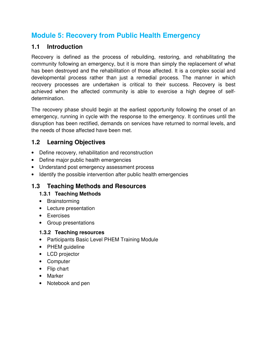## **Module 5: Recovery from Public Health Emergency**

## **1.1 Introduction**

Recovery is defined as the process of rebuilding, restoring, and rehabilitating the community following an emergency, but it is more than simply the replacement of what has been destroyed and the rehabilitation of those affected. It is a complex social and developmental process rather than just a remedial process. The manner in which recovery processes are undertaken is critical to their success. Recovery is best achieved when the affected community is able to exercise a high degree of selfdetermination.

The recovery phase should begin at the earliest opportunity following the onset of an emergency, running in cycle with the response to the emergency. It continues until the disruption has been rectified, demands on services have returned to normal levels, and the needs of those affected have been met.

## **1.2 Learning Objectives**

- Define recovery, rehabilitation and reconstruction
- Define major public health emergencies
- Understand post emergency assessment process
- Identify the possible intervention after public health emergencies

## **1.3 Teaching Methods and Resources**

#### **1.3.1 Teaching Methods**

- Brainstorming
- Lecture presentation
- Exercises
- Group presentations

#### **1.3.2 Teaching resources**

- Participants Basic Level PHEM Training Module
- PHEM guideline
- LCD projector
- Computer
- Flip chart
- Marker
- Notebook and pen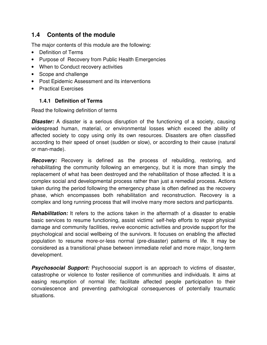### **1.4 Contents of the module**

The major contents of this module are the following:

- Definition of Terms
- Purpose of Recovery from Public Health Emergencies
- When to Conduct recovery activities
- Scope and challenge
- Post Epidemic Assessment and its interventions
- Practical Exercises

#### **1.4.1 Definition of Terms**

Read the following definition of terms

**Disaster:** A disaster is a serious disruption of the functioning of a society, causing widespread human, material, or environmental losses which exceed the ability of affected society to copy using only its own resources. Disasters are often classified according to their speed of onset (sudden or slow), or according to their cause (natural or man-made).

**Recovery:** Recovery is defined as the process of rebuilding, restoring, and rehabilitating the community following an emergency, but it is more than simply the replacement of what has been destroyed and the rehabilitation of those affected. It is a complex social and developmental process rather than just a remedial process. Actions taken during the period following the emergency phase is often defined as the recovery phase, which encompasses both rehabilitation and reconstruction. Recovery is a complex and long running process that will involve many more sectors and participants.

**Rehabilitation:** It refers to the actions taken in the aftermath of a disaster to enable basic services to resume functioning, assist victims' self-help efforts to repair physical damage and community facilities, revive economic activities and provide support for the psychological and social wellbeing of the survivors. It focuses on enabling the affected population to resume more-or-less normal (pre-disaster) patterns of life. It may be considered as a transitional phase between immediate relief and more major, long-term development.

**Psychosocial Support:** Psychosocial support is an approach to victims of disaster, catastrophe or violence to foster resilience of communities and individuals. It aims at easing resumption of normal life; facilitate affected people participation to their convalescence and preventing pathological consequences of potentially traumatic situations.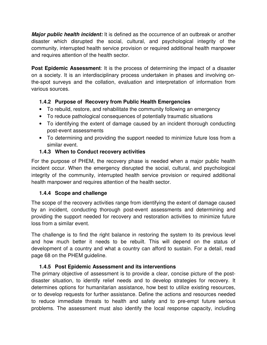**Major public health incident:** It is defined as the occurrence of an outbreak or another disaster which disrupted the social, cultural, and psychological integrity of the community, interrupted health service provision or required additional health manpower and requires attention of the health sector.

**Post Epidemic Assessment**: It is the process of determining the impact of a disaster on a society. It is an interdisciplinary process undertaken in phases and involving onthe-spot surveys and the collation, evaluation and interpretation of information from various sources.

#### **1.4.2 Purpose of Recovery from Public Health Emergencies**

- To rebuild, restore, and rehabilitate the community following an emergency
- To reduce pathological consequences of potentially traumatic situations
- To identifying the extent of damage caused by an incident thorough conducting post-event assessments
- To determining and providing the support needed to minimize future loss from a similar event.

#### **1.4.3 When to Conduct recovery activities**

For the purpose of PHEM, the recovery phase is needed when a major public health incident occur. When the emergency disrupted the social, cultural, and psychological integrity of the community, interrupted health service provision or required additional health manpower and requires attention of the health sector.

#### **1.4.4 Scope and challenge**

The scope of the recovery activities range from identifying the extent of damage caused by an incident, conducting thorough post-event assessments and determining and providing the support needed for recovery and restoration activities to minimize future loss from a similar event.

The challenge is to find the right balance in restoring the system to its previous level and how much better it needs to be rebuilt. This will depend on the status of development of a country and what a country can afford to sustain. For a detail, read page 68 on the PHEM guideline.

#### **1.4.5 Post Epidemic Assessment and its interventions**

The primary objective of assessment is to provide a clear, concise picture of the postdisaster situation, to identify relief needs and to develop strategies for recovery. It determines options for humanitarian assistance, how best to utilize existing resources, or to develop requests for further assistance. Define the actions and resources needed to reduce immediate threats to health and safety and to pre-empt future serious problems. The assessment must also identify the local response capacity, including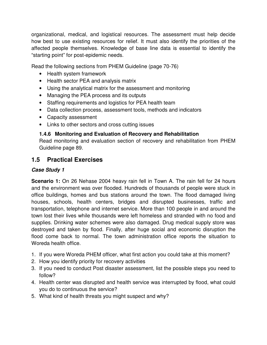organizational, medical, and logistical resources. The assessment must help decide how best to use existing resources for relief. It must also identify the priorities of the affected people themselves. Knowledge of base line data is essential to identify the "starting point" for post-epidemic needs.

Read the following sections from PHEM Guideline (page 70-76)

- Health system framework
- Health sector PEA and analysis matrix
- Using the analytical matrix for the assessment and monitoring
- Managing the PEA process and its outputs
- Staffing requirements and logistics for PEA health team
- Data collection process, assessment tools, methods and indicators
- Capacity assessment
- Links to other sectors and cross cutting issues

#### **1.4.6 Monitoring and Evaluation of Recovery and Rehabilitation**

Read monitoring and evaluation section of recovery and rehabilitation from PHEM Guideline page 89.

#### **1.5 Practical Exercises**

#### **Case Study 1**

**Scenario 1:** On 26 Nehase 2004 heavy rain fell in Town A. The rain fell for 24 hours and the environment was over flooded. Hundreds of thousands of people were stuck in office buildings, homes and bus stations around the town. The flood damaged living houses, schools, health centers, bridges and disrupted businesses, traffic and transportation, telephone and internet service. More than 100 people in and around the town lost their lives while thousands were left homeless and stranded with no food and supplies. Drinking water schemes were also damaged. Drug medical supply store was destroyed and taken by flood. Finally, after huge social and economic disruption the flood come back to normal. The town administration office reports the situation to Woreda health office.

- 1. If you were Woreda PHEM officer, what first action you could take at this moment?
- 2. How you identify priority for recovery activities
- 3. If you need to conduct Post disaster assessment, list the possible steps you need to follow?
- 4. Health center was disrupted and health service was interrupted by flood, what could you do to continuous the service?
- 5. What kind of health threats you might suspect and why?